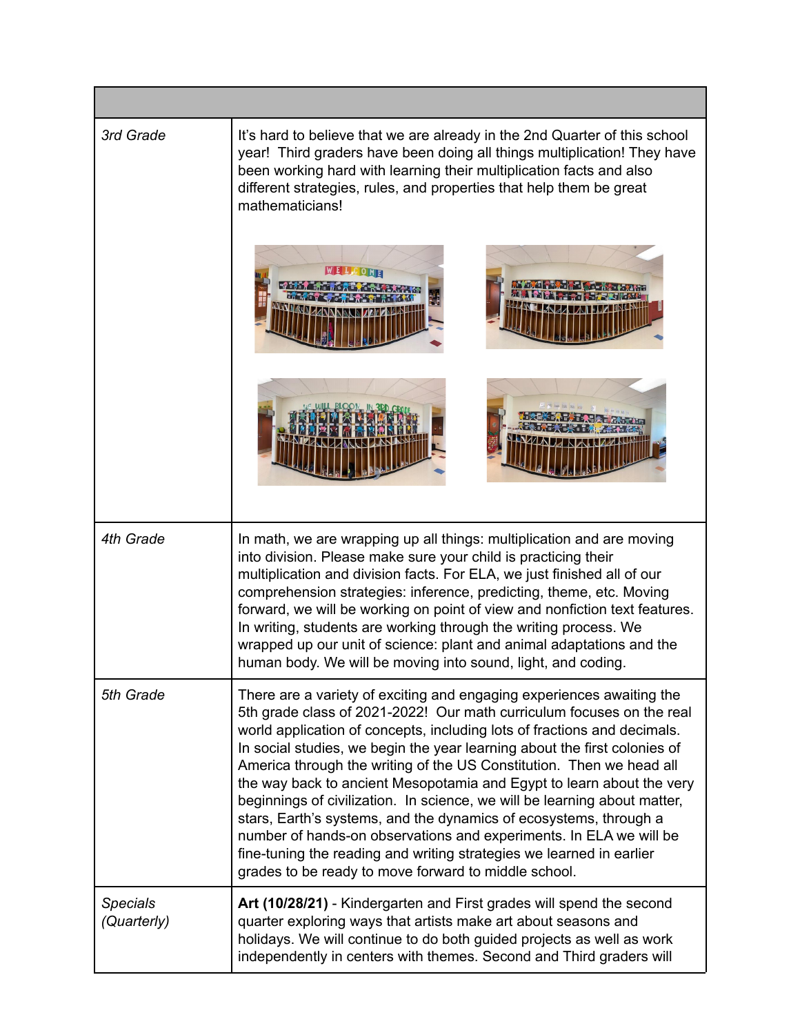| 3rd Grade                      | It's hard to believe that we are already in the 2nd Quarter of this school<br>year! Third graders have been doing all things multiplication! They have<br>been working hard with learning their multiplication facts and also<br>different strategies, rules, and properties that help them be great<br>mathematicians!                                                                                                                                                                                                                                                                                                                                                                                                                                                                                          |
|--------------------------------|------------------------------------------------------------------------------------------------------------------------------------------------------------------------------------------------------------------------------------------------------------------------------------------------------------------------------------------------------------------------------------------------------------------------------------------------------------------------------------------------------------------------------------------------------------------------------------------------------------------------------------------------------------------------------------------------------------------------------------------------------------------------------------------------------------------|
|                                |                                                                                                                                                                                                                                                                                                                                                                                                                                                                                                                                                                                                                                                                                                                                                                                                                  |
| 4th Grade                      | In math, we are wrapping up all things: multiplication and are moving<br>into division. Please make sure your child is practicing their<br>multiplication and division facts. For ELA, we just finished all of our<br>comprehension strategies: inference, predicting, theme, etc. Moving<br>forward, we will be working on point of view and nonfiction text features.<br>In writing, students are working through the writing process. We<br>wrapped up our unit of science: plant and animal adaptations and the<br>human body. We will be moving into sound, light, and coding.                                                                                                                                                                                                                              |
| 5th Grade                      | There are a variety of exciting and engaging experiences awaiting the<br>5th grade class of 2021-2022! Our math curriculum focuses on the real<br>world application of concepts, including lots of fractions and decimals.<br>In social studies, we begin the year learning about the first colonies of<br>America through the writing of the US Constitution. Then we head all<br>the way back to ancient Mesopotamia and Egypt to learn about the very<br>beginnings of civilization. In science, we will be learning about matter,<br>stars, Earth's systems, and the dynamics of ecosystems, through a<br>number of hands-on observations and experiments. In ELA we will be<br>fine-tuning the reading and writing strategies we learned in earlier<br>grades to be ready to move forward to middle school. |
| <b>Specials</b><br>(Quarterly) | Art (10/28/21) - Kindergarten and First grades will spend the second<br>quarter exploring ways that artists make art about seasons and<br>holidays. We will continue to do both guided projects as well as work<br>independently in centers with themes. Second and Third graders will                                                                                                                                                                                                                                                                                                                                                                                                                                                                                                                           |